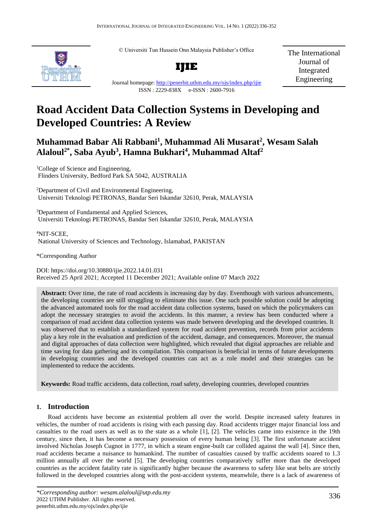© Universiti Tun Hussein Onn Malaysia Publisher's Office



**IJIE**

The International Journal of Integrated Engineering

#### Journal homepage:<http://penerbit.uthm.edu.my/ojs/index.php/ijie> ISSN : 2229-838X e-ISSN : 2600-7916

# **Road Accident Data Collection Systems in Developing and Developed Countries: A Review**

# **Muhammad Babar Ali Rabbani<sup>1</sup> , Muhammad Ali Musarat<sup>2</sup> , Wesam Salah Alaloul2\* , Saba Ayub<sup>3</sup> , Hamna Bukhari<sup>4</sup> , Muhammad Altaf<sup>2</sup>**

<sup>1</sup>College of Science and Engineering. Flinders University, Bedford Park SA 5042, AUSTRALIA

<sup>2</sup>Department of Civil and Environmental Engineering, Universiti Teknologi PETRONAS, Bandar Seri Iskandar 32610, Perak, MALAYSIA

<sup>3</sup>Department of Fundamental and Applied Sciences, Universiti Teknologi PETRONAS, Bandar Seri Iskandar 32610, Perak, MALAYSIA

<sup>4</sup>NIT-SCEE, National University of Sciences and Technology, Islamabad, PAKISTAN

\*Corresponding Author

DOI: https://doi.org/10.30880/ijie.2022.14.01.031 Received 25 April 2021; Accepted 11 December 2021; Available online 07 March 2022

**Abstract:** Over time, the rate of road accidents is increasing day by day. Eventhough with various advancements, the developing countries are still struggling to eliminate this issue. One such possible solution could be adopting the advanced automated tools for the road accident data collection systems, based on which the policymakers can adopt the necessary strategies to avoid the accidents. In this manner, a review has been conducted where a comparison of road accident data collection systems was made between developing and the developed countries. It was observed that to establish a standardized system for road accident prevention, records from prior accidents play a key role in the evaluation and prediction of the accident, damage, and consequences. Moreover, the manual and digital approaches of data collection were highlighted, which revealed that digital approaches are reliable and time saving for data gathering and its compilation. This comparison is beneficial in terms of future developments in developing countries and the developed countries can act as a role model and their strategies can be implemented to reduce the accidents.

**Keywords:** Road traffic accidents, data collection, road safety, developing countries, developed countries

# **1. Introduction**

Road accidents have become an existential problem all over the world. Despite increased safety features in vehicles, the number of road accidents is rising with each passing day. Road accidents trigger major financial loss and casualties to the road users as well as to the state as a whole [1], [2]. The vehicles came into existence in the 19th century, since then, it has become a necessary possession of every human being [3]. The first unfortunate accident involved Nicholas Joseph Cugnot in 1777, in which a steam engine-built car collided against the wall [4]. Since then, road accidents became a nuisance to humankind. The number of casualties caused by traffic accidents soared to 1.3 million annually all over the world [5]. The developing countries comparatively suffer more than the developed countries as the accident fatality rate is significantly higher because the awareness to safety like seat belts are strictly followed in the developed countries along with the post-accident systems, meanwhile, there is a lack of awareness of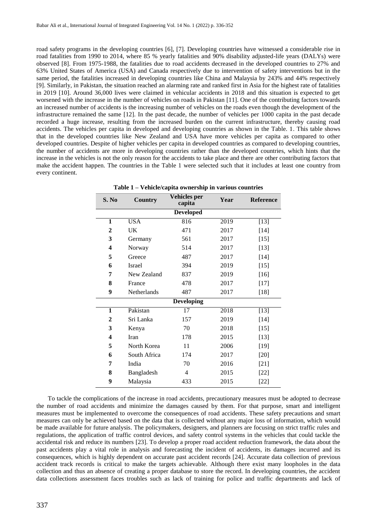road safety programs in the developing countries [6], [7]. Developing countries have witnessed a considerable rise in road fatalities from 1990 to 2014, where 85 % yearly fatalities and 90% disability adjusted-life years (DALYs) were observed [8]. From 1975-1988, the fatalities due to road accidents decreased in the developed countries to 27% and 63% United States of America (USA) and Canada respectively due to intervention of safety interventions but in the same period, the fatalities increased in developing countries like China and Malaysia by 243% and 44% respectively [9]. Similarly, in Pakistan, the situation reached an alarming rate and ranked first in Asia for the highest rate of fatalities in 2019 [10]. Around 36,000 lives were claimed in vehicular accidents in 2018 and this situation is expected to get worsened with the increase in the number of vehicles on roads in Pakistan [11]. One of the contributing factors towards an increased number of accidents is the increasing number of vehicles on the roads even though the development of the infrastructure remained the same [12]. In the past decade, the number of vehicles per 1000 capita in the past decade recorded a huge increase, resulting from the increased burden on the current infrastructure, thereby causing road accidents. The vehicles per capita in developed and developing countries as shown in the Table. 1. This table shows that in the developed countries like New Zealand and USA have more vehicles per capita as compared to other developed countries. Despite of higher vehicles per capita in developed countries as compared to developing countries, the number of accidents are more in developing countries rather than the developed countries, which hints that the increase in the vehicles is not the only reason for the accidents to take place and there are other contributing factors that make the accident happen. The countries in the Table 1 were selected such that it includes at least one country from every continent.

| S. No                   | Country            | Vehicles per<br>capita | Year | <b>Reference</b> |
|-------------------------|--------------------|------------------------|------|------------------|
| <b>Developed</b>        |                    |                        |      |                  |
| 1                       | <b>USA</b>         | 816                    | 2019 | $[13]$           |
| $\overline{2}$          | UK                 | 471                    | 2017 | $[14]$           |
| 3                       | Germany            | 561                    | 2017 | $[15]$           |
| 4                       | Norway             | 514                    | 2017 | $[13]$           |
| 5                       | Greece             | 487                    | 2017 | $[14]$           |
| 6                       | <b>Israel</b>      | 394                    | 2019 | $[15]$           |
| 7                       | New Zealand        | 837                    | 2019 | $[16]$           |
| 8                       | France             | 478                    | 2017 | $[17]$           |
| 9                       | <b>Netherlands</b> | 487                    | 2017 | $[18]$           |
|                         |                    | <b>Developing</b>      |      |                  |
| $\overline{\mathbf{1}}$ | Pakistan           | 17                     | 2018 | $[13]$           |
| $\boldsymbol{2}$        | Sri Lanka          | 157                    | 2019 | $[14]$           |
| 3                       | Kenya              | 70                     | 2018 | $[15]$           |
| $\overline{\mathbf{4}}$ | Iran               | 178                    | 2015 | $[13]$           |
| 5                       | North Korea        | 11                     | 2006 | $[19]$           |
| 6                       | South Africa       | 174                    | 2017 | $[20]$           |
| 7                       | India              | 70                     | 2016 | $[21]$           |
| 8                       | Bangladesh         | 4                      | 2015 | $[22]$           |
| 9                       | Malaysia           | 433                    | 2015 | $[22]$           |

**Table 1 – Vehicle/capita ownership in various countries**

To tackle the complications of the increase in road accidents, precautionary measures must be adopted to decrease the number of road accidents and minimize the damages caused by them. For that purpose, smart and intelligent measures must be implemented to overcome the consequences of road accidents. These safety precautions and smart measures can only be achieved based on the data that is collected without any major loss of information, which would be made available for future analysis. The policymakers, designers, and planners are focusing on strict traffic rules and regulations, the application of traffic control devices, and safety control systems in the vehicles that could tackle the accidental risk and reduce its numbers [23]. To develop a proper road accident reduction framework, the data about the past accidents play a vital role in analysis and forecasting the incident of accidents, its damages incurred and its consequences, which is highly dependent on accurate past accident records [24]. Accurate data collection of previous accident track records is critical to make the targets achievable. Although there exist many loopholes in the data collection and thus an absence of creating a proper database to store the record. In developing countries, the accident data collections assessment faces troubles such as lack of training for police and traffic departments and lack of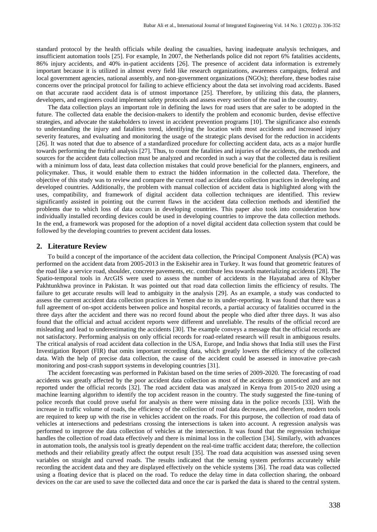standard protocol by the health officials while dealing the casualties, having inadequate analysis techniques, and insufficient automation tools [25]. For example, In 2007, the Netherlands police did not report 6% fatalities accidents, 86% injury accidents, and 40% in-patient accidents [26]. The presence of accident data information is extremely important because it is utilized in almost every field like research organizations, awareness campaigns, federal and local government agencies, national assembly, and non-government organizations (NGOs); therefore, these bodies raise concerns over the principal protocol for failing to achieve efficiency about the data set involving road accidents. Based on that accurate raod accident data is of utmost importance [25]. Therefore, by utilizing this data, the planners, developers, and engineers could implement safety protocols and assess every section of the road in the country.

The data collection plays an important role in defining the laws for road users that are safer to be adopted in the future. The collected data enable the decision-makers to identify the problem and economic burden, devise effective strategies, and advocate the stakeholders to invest in accident prevention programs [10]. The significance also extends to understanding the injury and fatalities trend, identifying the location with most accidents and increased injury severity features, and evaluating and monitoring the usage of the strategic plans devised for the reduction in accidents [26]. It was noted that due to absence of a standardized procedure for collecting accident data, acts as a major hurdle towards performing the fruitful analysis [27]. Thus, to count the fatalities and injuries of the accidents, the methods and sources for the accident data collection must be analyzed and recorded in such a way that the collected data is resilient with a minimum loss of data, least data collection mistakes that could prove beneficial for the planners, engineers, and policymaker. Thus, it would enable them to extract the hidden information in the collected data. Therefore, the objective of this study was to review and compare the current road accident data collection practices in developing and developed countries. Additionally, the problem with manual collection of accident data is highlighted along with the uses, compatibility, and framework of digital accident data collection techniques are identified. This review significantly assisted in pointing out the current flaws in the accident data collection methods and identified the problems due to which loss of data occurs in developing countries. This paper also took into consideration how individually installed recording devices could be used in developing countries to improve the data collection methods. In the end, a framework was proposed for the adoption of a novel digital accident data collection system that could be followed by the developing countries to prevent accident data losses.

#### **2. Literature Review**

To build a concept of the importance of the accident data collection, the Principal Component Analysis (PCA) was performed on the accident data from 2005-2013 in the Eskisehir area in Turkey. It was found that geometric features of the road like a service road, shoulder, concrete pavements, etc. contribute less towards materializing accidents [28]. The Spatio-temporal tools in ArcGIS were used to assess the number of accidents in the Hayatabad area of Khyber Pakhtunkhwa province in Pakistan. It was pointed out that road data collection limits the efficiency of results. The failure to get accurate results will lead to ambiguity in the analysis [29]. As an example, a study was conducted to assess the current accident data collection practices in Yemen due to its under-reporting. It was found that there was a full agreement of on-spot accidents between police and hospital records, a partial accuracy of fatalities occurred in the three days after the accident and there was no record found about the people who died after three days. It was also found that the official and actual accident reports were different and unreliable. The results of the official record are misleading and lead to underestimating the accidents [30]. The example conveys a message that the official records are not satisfactory. Performing analysis on only official records for road-related research will result in ambiguous results. The critical analysis of road accident data collection in the USA, Europe, and India shows that India still uses the First Investigation Report (FIR) that omits important recording data, which greatly lowers the efficiency of the collected data. With the help of precise data collection, the cause of the accident could be assessed in innovative pre-cash monitoring and post-crash support systems in developing countries [31].

The accident forecasting was performed in Pakistan based on the time series of 2009-2020. The forecasting of road accidents was greatly affected by the poor accident data collection as most of the accidents go unnoticed and are not reported under the official records [32]. The road accident data was analyzed in Kenya from 2015-to 2020 using a machine learning algorithm to identify the top accident reason in the country. The study suggested the fine-tuning of police records that could prove useful for analysis as there were missing data in the police records [33]. With the increase in traffic volume of roads, the efficiency of the collection of road data decreases, and therefore, modern tools are required to keep up with the rise in vehicles accident on the roads. For this purpose, the collection of road data of vehicles at intersections and pedestrians crossing the intersections is taken into account. A regression analysis was performed to improve the data collection of vehicles at the intersection. It was found that the regression technique handles the collection of road data effectively and there is minimal loss in the collection [34]. Similarly, with advances in automation tools, the analysis tool is greatly dependent on the real-time traffic accident data; therefore, the collection methods and their reliability greatly affect the output result [35]. The road data acquisition was assessed using seven variables on straight and curved roads. The results indicated that the sensing system performs accurately while recording the accident data and they are displayed effectively on the vehicle systems [36]. The road data was collected using a floating device that is placed on the road. To reduce the delay time in data collection sharing, the onboard devices on the car are used to save the collected data and once the car is parked the data is shared to the central system.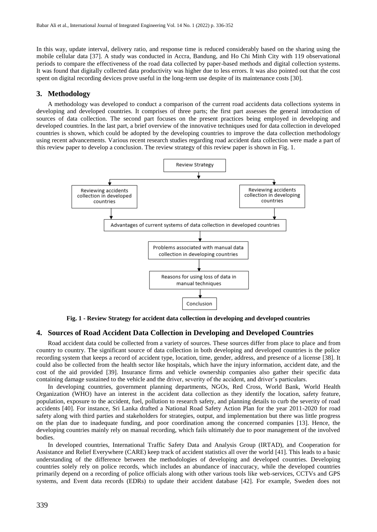In this way, update interval, delivery ratio, and response time is reduced considerably based on the sharing using the mobile cellular data [37]. A study was conducted in Accra, Bandung, and Ho Chi Minh City with 119 observational periods to compare the effectiveness of the road data collected by paper-based methods and digital collection systems. It was found that digitally collected data productivity was higher due to less errors. It was also pointed out that the cost spent on digital recording devices prove useful in the long-term use despite of its maintenance costs [30].

#### **3. Methodology**

A methodology was developed to conduct a comparison of the current road accidents data collections systems in developing and developed countries. It comprises of three parts; the first part assesses the general introduction of sources of data collection. The second part focuses on the present practices being employed in developing and developed countries. In the last part, a brief overview of the innovative techniques used for data collection in developed countries is shown, which could be adopted by the developing countries to improve the data collection methodology using recent advancements. Various recent research studies regarding road accident data collection were made a part of this review paper to develop a conclusion. The review strategy of this review paper is shown in Fig. 1.



**Fig. 1 - Review Strategy for accident data collection in developing and developed countries**

#### **4. Sources of Road Accident Data Collection in Developing and Developed Countries**

Road accident data could be collected from a variety of sources. These sources differ from place to place and from country to country. The significant source of data collection in both developing and developed countries is the police recording system that keeps a record of accident type, location, time, gender, address, and presence of a license [38]. It could also be collected from the health sector like hospitals, which have the injury information, accident date, and the cost of the aid provided [39]. Insurance firms and vehicle ownership companies also gather their specific data containing damage sustained to the vehicle and the driver, severity of the accident, and driver's particulars.

In developing countries, government planning departments, NGOs, Red Cross, World Bank, World Health Organization (WHO) have an interest in the accident data collection as they identify the location, safety feature, population, exposure to the accident, fuel, pollution to research safety, and planning details to curb the severity of road accidents [40]. For instance, Sri Lanka drafted a National Road Safety Action Plan for the year 2011-2020 for road safety along with third parties and stakeholders for strategies, output, and implementation but there was little progress on the plan due to inadequate funding, and poor coordination among the concerned companies [13]. Hence, the developing countries mainly rely on manual recording, which fails ultimately due to poor management of the involved bodies.

In developed countries, International Traffic Safety Data and Analysis Group (IRTAD), and Cooperation for Assistance and Relief Everywhere (CARE) keep track of accident statistics all over the world [41]. This leads to a basic understanding of the difference between the methodologies of developing and developed countries. Developing countries solely rely on police records, which includes an abundance of inaccuracy, while the developed countries primarily depend on a recording of police officials along with other various tools like web-services, CCTVs and GPS systems, and Event data records (EDRs) to update their accident database [42]. For example, Sweden does not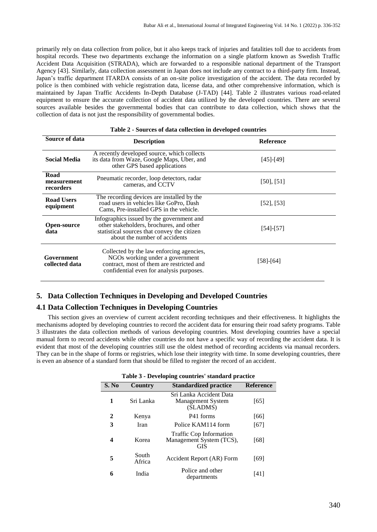primarily rely on data collection from police, but it also keeps track of injuries and fatalities toll due to accidents from hospital records. These two departments exchange the information on a single platform known as Swedish Traffic Accident Data Acquisition (STRADA), which are forwarded to a responsible national department of the Transport Agency [43]. Similarly, data collection assessment in Japan does not include any contract to a third-party firm. Instead, Japan's traffic department ITARDA consists of an on-site police investigation of the accident. The data recorded by police is then combined with vehicle registration data, license data, and other comprehensive information, which is maintained by Japan Traffic Accidents In-Depth Database (J-TAD) [44]. Table 2 illustrates various road-related equipment to ensure the accurate collection of accident data utilized by the developed countries. There are several sources available besides the governmental bodies that can contribute to data collection, which shows that the collection of data is not just the responsibility of governmental bodies.

| Source of data                   | <b>Description</b>                                                                                                                                                    | <b>Reference</b> |
|----------------------------------|-----------------------------------------------------------------------------------------------------------------------------------------------------------------------|------------------|
| <b>Social Media</b>              | A recently developed source, which collects<br>its data from Waze, Google Maps, Uber, and<br>other GPS based applications                                             | $[45]$ - $[49]$  |
| Road<br>measurement<br>recorders | Pneumatic recorder, loop detectors, radar<br>cameras, and CCTV                                                                                                        | $[50]$ , $[51]$  |
| <b>Road Users</b><br>equipment   | The recording devices are installed by the<br>road users in vehicles like GoPro, Dash<br>Cams, Pre-installed GPS in the vehicle.                                      | $[52]$ , [53]    |
| <b>Open-source</b><br>data       | Infographics issued by the government and<br>other stakeholders, brochures, and other<br>statistical sources that convey the citizen<br>about the number of accidents | $[54]-[57]$      |
| Government<br>collected data     | Collected by the law enforcing agencies,<br>NGOs working under a government<br>contract, most of them are restricted and<br>confidential even for analysis purposes.  | [58]-[64]        |

#### **Table 2 - Sources of data collection in developed countries**

# **5. Data Collection Techniques in Developing and Developed Countries**

#### **4.1 Data Collection Techniques in Developing Countries**

This section gives an overview of current accident recording techniques and their effectiveness. It highlights the mechanisms adopted by developing countries to record the accident data for ensuring their road safety programs. Table 3 illustrates the data collection methods of various developing countries. Most developing countries have a special manual form to record accidents while other countries do not have a specific way of recording the accident data. It is evident that most of the developing countries still use the oldest method of recording accidents via manual recorders. They can be in the shape of forms or registries, which lose their integrity with time. In some developing countries, there is even an absence of a standard form that should be filled to register the record of an accident.

| Table 3 - Developing countries' standard practice |                 |                                                                 |                  |  |
|---------------------------------------------------|-----------------|-----------------------------------------------------------------|------------------|--|
| S. No                                             | Country         | <b>Standardized practice</b>                                    | <b>Reference</b> |  |
| 1                                                 | Sri Lanka       | Sri Lanka Accident Data<br><b>Management System</b><br>(SLADMS) | [65]             |  |
| 2                                                 | Kenya           | P41 forms                                                       | [66]             |  |
| 3                                                 | Iran            | Police KAM114 form                                              | $[67]$           |  |
| 4                                                 | Korea           | Traffic Cop Information<br>Management System (TCS),<br>GIS      | [68]             |  |
| 5                                                 | South<br>Africa | Accident Report (AR) Form                                       | [69]             |  |
| 6                                                 | India           | Police and other<br>departments                                 | [41]             |  |

| Table 3 - Developing countries' standard practice |  |  |  |
|---------------------------------------------------|--|--|--|
|---------------------------------------------------|--|--|--|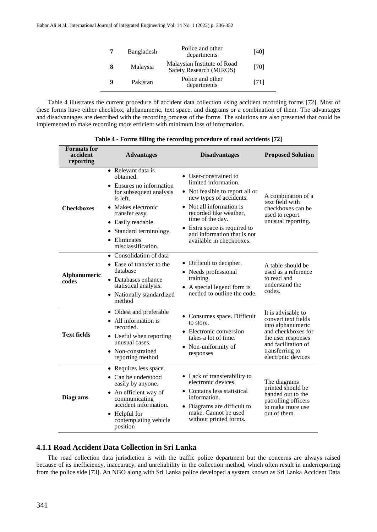| Bangladesh | Police and other<br>departments                        | [40] |
|------------|--------------------------------------------------------|------|
| Malaysia   | Malaysian Institute of Road<br>Safety Research (MIROS) | [70] |
| Pakistan   | Police and other<br>departments                        | [71] |

Table 4 illustrates the current procedure of accident data collection using accident recording forms [72]. Most of these forms have either checkbox, alphanumeric, text space, and diagrams or a combination of them. The advantages and disadvantages are described with the recording process of the forms. The solutions are also presented that could be implemented to make recording more efficient with minimum loss of information.

| <b>Formats</b> for<br>accident<br>reporting | <b>Advantages</b>                                                                                                                                                                                                               | <b>Disadvantages</b>                                                                                                                                                                                                                                                             | <b>Proposed Solution</b>                                                                                                                                                   |
|---------------------------------------------|---------------------------------------------------------------------------------------------------------------------------------------------------------------------------------------------------------------------------------|----------------------------------------------------------------------------------------------------------------------------------------------------------------------------------------------------------------------------------------------------------------------------------|----------------------------------------------------------------------------------------------------------------------------------------------------------------------------|
| <b>Checkboxes</b>                           | • Relevant data is<br>obtained.<br>• Ensures no information<br>for subsequent analysis<br>is left.<br>Makes electronic<br>transfer easy.<br>• Easily readable.<br>• Standard terminology.<br>• Eliminates<br>misclassification. | • User-constrained to<br>limited information.<br>• Not feasible to report all or<br>new types of accidents.<br>• Not all information is<br>recorded like weather,<br>time of the day.<br>• Extra space is required to<br>add information that is not<br>available in checkboxes. | A combination of a<br>text field with<br>checkboxes can be<br>used to report<br>unusual reporting.                                                                         |
| <b>Alphanumeric</b><br>codes                | • Consolidation of data<br>• Ease of transfer to the<br>database<br>• Databases enhance<br>statistical analysis.<br>• Nationally standardized<br>method                                                                         | • Difficult to decipher.<br>• Needs professional<br>training.<br>A special legend form is<br>needed to outline the code.                                                                                                                                                         | A table should be<br>used as a reference<br>to read and<br>understand the<br>codes.                                                                                        |
| <b>Text fields</b>                          | • Oldest and preferable<br>• All information is<br>recorded.<br>• Useful when reporting<br>unusual cases.<br>• Non-constrained<br>reporting method                                                                              | • Consumes space. Difficult<br>to store.<br>• Electronic conversion<br>takes a lot of time.<br>• Non-uniformity of<br>responses                                                                                                                                                  | It is advisable to<br>convert text fields<br>into alphanumeric<br>and checkboxes for<br>the user responses<br>and facilitation of<br>transferring to<br>electronic devices |
| <b>Diagrams</b>                             | • Requires less space.<br>• Can be understood<br>easily by anyone.<br>• An efficient way of<br>communicating<br>accident information.<br>$\bullet$ Helpful for<br>contemplating vehicle<br>position                             | • Lack of transferability to<br>electronic devices.<br>• Contains less statistical<br>information.<br>• Diagrams are difficult to<br>make. Cannot be used<br>without printed forms.                                                                                              | The diagrams<br>printed should be<br>handed out to the<br>patrolling officers<br>to make more use<br>out of them.                                                          |

**Table 4 - Forms filling the recording procedure of road accidents [72]**

# **4.1.1 Road Accident Data Collection in Sri Lanka**

The road collection data jurisdiction is with the traffic police department but the concerns are always raised because of its inefficiency, inaccuracy, and unreliability in the collection method, which often result in underreporting from the police side [73]. An NGO along with Sri Lanka police developed a system known as Sri Lanka Accident Data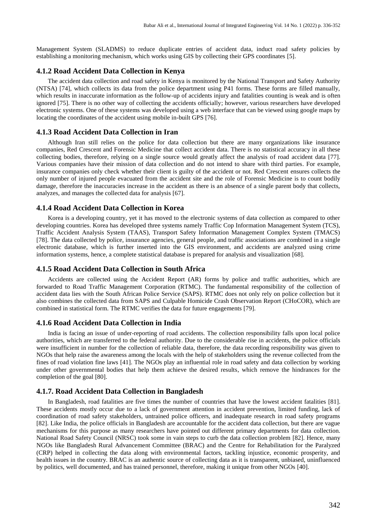Management System (SLADMS) to reduce duplicate entries of accident data, induct road safety policies by establishing a monitoring mechanism, which works using GIS by collecting their GPS coordinates [5].

#### **4.1.2 Road Accident Data Collection in Kenya**

The accident data collection and road safety in Kenya is monitored by the National Transport and Safety Authority (NTSA) [74], which collects its data from the police department using P41 forms. These forms are filled manually, which results in inaccurate information as the follow-up of accidents injury and fatalities counting is weak and is often ignored [75]. There is no other way of collecting the accidents officially; however, various researchers have developed electronic systems. One of these systems was developed using a web interface that can be viewed using google maps by locating the coordinates of the accident using mobile in-built GPS [76].

#### **4.1.3 Road Accident Data Collection in Iran**

Although Iran still relies on the police for data collection but there are many organizations like insurance companies, Red Crescent and Forensic Medicine that collect accident data. There is no statistical accuracy in all these collecting bodies, therefore, relying on a single source would greatly affect the analysis of road accident data [77]. Various companies have their mission of data collection and do not intend to share with third parties. For example, insurance companies only check whether their client is guilty of the accident or not. Red Crescent ensures collects the only number of injured people evacuated from the accident site and the role of Forensic Medicine is to count bodily damage, therefore the inaccuracies increase in the accident as there is an absence of a single parent body that collects, analyzes, and manages the collected data for analysis [67].

### **4.1.4 Road Accident Data Collection in Korea**

Korea is a developing country, yet it has moved to the electronic systems of data collection as compared to other developing countries. Korea has developed three systems namely Traffic Cop Information Management System (TCS), Traffic Accident Analysis System (TAAS), Transport Safety Information Management Complex System (TMACS) [78]. The data collected by police, insurance agencies, general people, and traffic associations are combined in a single electronic database, which is further inserted into the GIS environment, and accidents are analyzed using crime information systems, hence, a complete statistical database is prepared for analysis and visualization [68].

#### **4.1.5 Road Accident Data Collection in South Africa**

Accidents are collected using the Accident Report (AR) forms by police and traffic authorities, which are forwarded to Road Traffic Management Corporation (RTMC). The fundamental responsibility of the collection of accident data lies with the South African Police Service (SAPS). RTMC does not only rely on police collection but it also combines the collected data from SAPS and Culpable Homicide Crash Observation Report (CHoCOR), which are combined in statistical form. The RTMC verifies the data for future engagements [79].

# **4.1.6 Road Accident Data Collection in India**

India is facing an issue of under-reporting of road accidents. The collection responsibility falls upon local police authorities, which are transferred to the federal authority. Due to the considerable rise in accidents, the police officials were insufficient in number for the collection of reliable data, therefore, the data recording responsibility was given to NGOs that help raise the awareness among the locals with the help of stakeholders using the revenue collected from the fines of road violation fine laws [41]. The NGOs play an influential role in road safety and data collection by working under other governmental bodies that help them achieve the desired results, which remove the hindrances for the completion of the goal [80].

# **4.1.7. Road Accident Data Collection in Bangladesh**

In Bangladesh, road fatalities are five times the number of countries that have the lowest accident fatalities [81]. These accidents mostly occur due to a lack of government attention in accident prevention, limited funding, lack of coordination of road safety stakeholders, untrained police officers, and inadequate research in road safety programs [82]. Like India, the police officials in Bangladesh are accountable for the accident data collection, but there are vague mechanisms for this purpose as many researchers have pointed out different primary departments for data collection. National Road Safety Council (NRSC) took some in vain steps to curb the data collection problem [82]. Hence, many NGOs like Bangladesh Rural Advancement Committee (BRAC) and the Centre for Rehabilitation for the Paralyzed (CRP) helped in collecting the data along with environmental factors, tackling injustice, economic prosperity, and health issues in the country. BRAC is an authentic source of collecting data as it is transparent, unbiased, uninfluenced by politics, well documented, and has trained personnel, therefore, making it unique from other NGOs [40].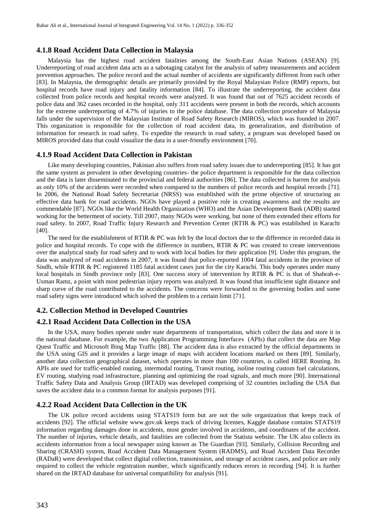# **4.1.8 Road Accident Data Collection in Malaysia**

Malaysia has the highest road accident fatalities among the South-East Asian Nations (ASEAN) [9]. Underreporting of road accident data acts as a sabotaging catalyst for the analysis of safety measurements and accident prevention approaches. The police record and the actual number of accidents are significantly different from each other [83]. In Malaysia, the demographic details are primarily provided by the Royal Malaysian Police (RMP) reports, but hospital records have road injury and fatality information [84]. To illustrate the underreporting, the accident data collected from police records and hospital records were analyzed. It was found that out of 7625 accident records of police data and 362 cases recorded in the hospital, only 311 accidents were present in both the records, which accounts for the extreme underreporting of 4.7% of injuries to the police database. The data collection procedure of Malaysia falls under the supervision of the Malaysian Institute of Road Safety Research (MIROS), which was founded in 2007. This organization is responsible for the collection of road accident data, its generalization, and distribution of information for research in road safety. To expedite the research in road safety, a program was developed based on MIROS provided data that could visualize the data in a user-friendly environment [70].

#### **4.1.9 Road Accident Data Collection in Pakistan**

Like many developing countries, Pakistan also suffers from road safety issues due to underreporting [85]. It has got the same system as prevalent in other developing countries- the police department is responsible for the data collection and the data is later disseminated to the provincial and federal authorities [86]. The data collected is barren for analysis as only 10% of the accidents were recorded when compared to the numbers of police records and hospital records [71]. In 2006, the National Road Safety Secretariat (NRSS) was established with the prime objective of structuring an effective data bank for road accidents. NGOs have played a positive role in creating awareness and the results are commendable [87]. NGOs like the World Health Organization (WHO) and the Asian Development Bank (ADB) started working for the betterment of society. Till 2007, many NGOs were working, but none of them extended their efforts for road safety. In 2007, Road Traffic Injury Research and Prevention Center (RTIR & PC) was established in Karachi [40].

The need for the establishment of RTIR  $& PC$  was felt by the local doctors due to the difference in recorded data in police and hospital records. To cope with the difference in numbers, RTIR & PC was created to create interventions over the analytical study for road safety and to work with local bodies for their application [9]. Under this program, the data was analyzed of road accidents in 2007, it was found that police-reported 1004 fatal accidents in the province of Sindh, while RTIR & PC registered 1185 fatal accident cases just for the city Karachi. This body operates under many local hospitals in Sindh province only [83]. One success story of intervention by RTIR & PC is that of Shahrah-e-Usman Ramz, a point with most pedestrian injury reports was analyzed. It was found that insufficient sight distance and sharp curve of the road contributed to the accidents. The concerns were forwarded to the governing bodies and some road safety signs were introduced which solved the problem to a certain limit [71].

#### **4.2. Collection Method in Developed Countries**

#### **4.2.1 Road Accident Data Collection in the USA**

In the USA, many bodies operate under state departments of transportation, which collect the data and store it in the national database. For example, the two Application Programming Interfaces (APIs) that collect the data are Map Quest Traffic and Microsoft Bing Map Traffic [88]. The accident data is also extracted by the official departments in the USA using GIS and it provides a large image of maps with accident locations marked on them [89]. Similarly, another data collection geographical dataset, which operates in more than 100 countries, is called HERE Routing. Its APIs are used for traffic-enabled routing, intermodal routing, Transit routing, isoline routing custom fuel calculations, EV routing, studying road infrastructure, planning and optimizing the road signals, and much more [90]. International Traffic Safety Data and Analysis Group (IRTAD) was developed comprising of 32 countries including the USA that saves the accident data in a common format for analysis purposes [91].

#### **4.2.2 Road Accident Data Collection in the UK**

The UK police record accidents using STATS19 form but are not the sole organization that keeps track of accidents [92]. The official website [www.gov.uk](http://www.gov.uk/) keeps track of driving licenses, Kaggle database contains STATS19 information regarding damages done in accidents, most gender involved in accidents, and coordinates of the accident. The number of injuries, vehicle details, and fatalities are collected from the Statista website. The UK also collects its accidents information from a local newspaper using known as The Guardian [93]. Similarly, Collision Recording and Sharing (CRASH) system, Road Accident Data Management System (RADMS), and Road Accident Data Recorder (RADaR) were developed that collect digital collection, transmission, and storage of accident cases, and police are only required to collect the vehicle registration number, which significantly reduces errors in recording [94]. It is further shared on the IRTAD database for universal compatibility for analysis [91].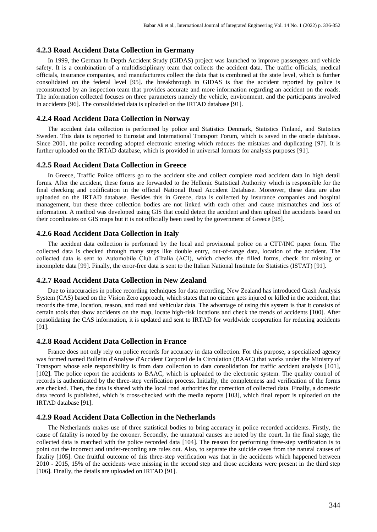# **4.2.3 Road Accident Data Collection in Germany**

In 1999, the German In-Depth Accident Study (GIDAS) project was launched to improve passengers and vehicle safety. It is a combination of a multidisciplinary team that collects the accident data. The traffic officials, medical officials, insurance companies, and manufacturers collect the data that is combined at the state level, which is further consolidated on the federal level [95]. the breakthrough in GIDAS is that the accident reported by police is reconstructed by an inspection team that provides accurate and more information regarding an accident on the roads. The information collected focuses on three parameters namely the vehicle, environment, and the participants involved in accidents [96]. The consolidated data is uploaded on the IRTAD database [91].

#### **4.2.4 Road Accident Data Collection in Norway**

The accident data collection is performed by police and Statistics Denmark, Statistics Finland, and Statistics Sweden. This data is reported to Eurostat and International Transport Forum, which is saved in the oracle database. Since 2001, the police recording adopted electronic entering which reduces the mistakes and duplicating [97]. It is further uploaded on the IRTAD database, which is provided in universal formats for analysis purposes [91].

#### **4.2.5 Road Accident Data Collection in Greece**

In Greece, Traffic Police officers go to the accident site and collect complete road accident data in high detail forms. After the accident, these forms are forwarded to the Hellenic Statistical Authority which is responsible for the final checking and codification in the official National Road Accident Database. Moreover, these data are also uploaded on the IRTAD database. Besides this in Greece, data is collected by insurance companies and hospital management, but these three collection bodies are not linked with each other and cause mismatches and loss of information. A method was developed using GIS that could detect the accident and then upload the accidents based on their coordinates on GIS maps but it is not officially been used by the government of Greece [98].

### **4.2.6 Road Accident Data Collection in Italy**

The accident data collection is performed by the local and provisional police on a CTT/INC paper form. The collected data is checked through many steps like double entry, out-of-range data, location of the accident. The collected data is sent to Automobile Club d'Italia (ACI), which checks the filled forms, check for missing or incomplete data [99]. Finally, the error-free data is sent to the Italian National Institute for Statistics (ISTAT) [91].

#### **4.2.7 Road Accident Data Collection in New Zealand**

Due to inaccuracies in police recording techniques for data recording, New Zealand has introduced Crash Analysis System (CAS) based on the Vision Zero approach, which states that no citizen gets injured or killed in the accident, that records the time, location, reason, and road and vehicular data. The advantage of using this system is that it consists of certain tools that show accidents on the map, locate high-risk locations and check the trends of accidents [100]. After consolidating the CAS information, it is updated and sent to IRTAD for worldwide cooperation for reducing accidents [91].

# **4.2.8 Road Accident Data Collection in France**

France does not only rely on police records for accuracy in data collection. For this purpose, a specialized agency was formed named Bulletin d'Analyse d'Accident Corporel de la Circulation (BAAC) that works under the Ministry of Transport whose sole responsibility is from data collection to data consolidation for traffic accident analysis [101], [102]. The police report the accidents to BAAC, which is uploaded to the electronic system. The quality control of records is authenticated by the three-step verification process. Initially, the completeness and verification of the forms are checked. Then, the data is shared with the local road authorities for correction of collected data. Finally, a domestic data record is published, which is cross-checked with the media reports [103], which final report is uploaded on the IRTAD database [91].

#### **4.2.9 Road Accident Data Collection in the Netherlands**

The Netherlands makes use of three statistical bodies to bring accuracy in police recorded accidents. Firstly, the cause of fatality is noted by the coroner. Secondly, the unnatural causes are noted by the court. In the final stage, the collected data is matched with the police recorded data [104]. The reason for performing three-step verification is to point out the incorrect and under-recording are rules out. Also, to separate the suicide cases from the natural causes of fatality [105]. One fruitful outcome of this three-step verification was that in the accidents which happened between 2010 - 2015, 15% of the accidents were missing in the second step and those accidents were present in the third step [106]. Finally, the details are uploaded on IRTAD [91].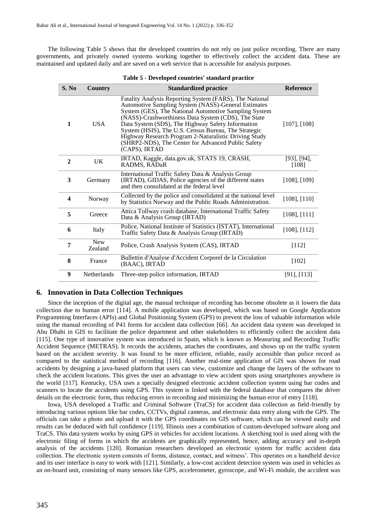The following Table 5 shows that the developed countries do not rely on just police recording. There are many governments, and privately owned systems working together to effectively collect the accident data. These are maintained and updated daily and are saved on a web service that is accessible for analysis purposes.

| S. No                   | <b>Country</b>        | <b>Standardized practice</b>                                                                                                                                                                                                                                                                                                                                                                                                                                                | <b>Reference</b>           |
|-------------------------|-----------------------|-----------------------------------------------------------------------------------------------------------------------------------------------------------------------------------------------------------------------------------------------------------------------------------------------------------------------------------------------------------------------------------------------------------------------------------------------------------------------------|----------------------------|
| $\mathbf{1}$            | <b>USA</b>            | Fatality Analysis Reporting System (FARS), The National<br>Automotive Sampling System (NASS)-General Estimates<br>System (GES), The National Automotive Sampling System<br>(NASS)-Crashworthiness Data System (CDS), The State<br>Data System (SDS), The Highway Safety Information<br>System (HSIS), The U.S. Census Bureau, The Strategic<br>Highway Research Program 2-Naturalistic Driving Study<br>(SHRP2-NDS), The Center for Advanced Public Safety<br>(CAPS), IRTAD | $[107]$ , $[108]$          |
| $\mathbf{2}$            | <b>UK</b>             | IRTAD, Kaggle, data.gov.uk, STATS 19, CRASH,<br>RADMS, RADaR                                                                                                                                                                                                                                                                                                                                                                                                                | $[93]$ , $[94]$ ,<br>[108] |
| 3                       | Germany               | International Traffic Safety Data & Analysis Group<br>(IRTAD), GIDAS, Police agencies of the different states<br>and then consolidated at the federal level                                                                                                                                                                                                                                                                                                                 | $[108]$ , $[109]$          |
| $\overline{\mathbf{4}}$ | Norway                | Collected by the police and consolidated at the national level<br>by Statistics Norway and the Public Roads Administration.                                                                                                                                                                                                                                                                                                                                                 | $[108]$ , $[110]$          |
| 5                       | Greece                | Attica Tollway crash database, International Traffic Safety<br>Data & Analysis Group (IRTAD)                                                                                                                                                                                                                                                                                                                                                                                | $[108]$ , $[111]$          |
| 6                       | Italy                 | Police, National Institute of Statistics (ISTAT), International<br>Traffic Safety Data & Analysis Group (IRTAD)                                                                                                                                                                                                                                                                                                                                                             | $[108]$ , $[112]$          |
| 7                       | <b>New</b><br>Zealand | Police, Crash Analysis System (CAS), IRTAD                                                                                                                                                                                                                                                                                                                                                                                                                                  | [112]                      |
| 8                       | France                | Bullettin d'Analyse d'Accident Corporel de la Circulation<br>(BAAC), IRTAD                                                                                                                                                                                                                                                                                                                                                                                                  | $[102]$                    |
| 9                       | <b>Netherlands</b>    | Three-step police information, IRTAD                                                                                                                                                                                                                                                                                                                                                                                                                                        | $[91]$ , $[113]$           |

#### **6. Innovation in Data Collection Techniques**

Since the inception of the digital age, the manual technique of recording has become obsolete as it lowers the data collection due to human error [114]. A mobile application was developed, which was based on Google Application Programming Interfaces (APIs) and Global Positioning System (GPS) to prevent the loss of valuable information while using the manual recording of P41 forms for accident data collection [66]. An accident data system was developed in Abu Dhabi in GIS to facilitate the police department and other stakeholders to efficiently collect the accident data [115]. One type of innovative system was introduced in Spain, which is known as Measuring and Recording Traffic Accident Sequence (METRAS). It records the accidents, attaches the coordinates, and shows up on the traffic system based on the accident severity. It was found to be more efficient, reliable, easily accessible than police record as compared to the statistical method of recording [116]. Another real-time application of GIS was shown for road accidents by designing a java-based platform that users can view, customize and change the layers of the software to check the accident locations. This gives the user an advantage to view accident spots using smartphones anywhere in the world [117]. Kentucky, USA uses a specially designed electronic accident collection system using bar codes and scanners to locate the accidents using GPS. This system is linked with the federal database that compares the driver details on the electronic form, thus reducing errors in recording and minimizing the human error of entry [118].

Iowa, USA developed a Traffic and Criminal Software (TraCS) for accident data collection as field-friendly by introducing various options like bar codes, CCTVs, digital cameras, and electronic data entry along with the GPS. The officials can take a photo and upload it with the GPS coordinates on GIS software, which can be viewed easily and results can be deduced with full confidence [119]. Illinois uses a combination of custom-developed software along and TraCS. This data system works by using GPS in vehicles for accident locations. A sketching tool is used along with the electronic filing of forms in which the accidents are graphically represented, hence, adding accuracy and in-depth analysis of the accidents [120]. Romanian researchers developed an electronic system for traffic accident data collection. The electronic system consists of forms, distance, contact, and witness'. This operates on a handheld device and its user interface is easy to work with [121]. Similarly, a low-cost accident detection system was used in vehicles as an on-board unit, consisting of many sensors like GPS, accelerometer, gyroscope, and Wi-Fi module, the accident was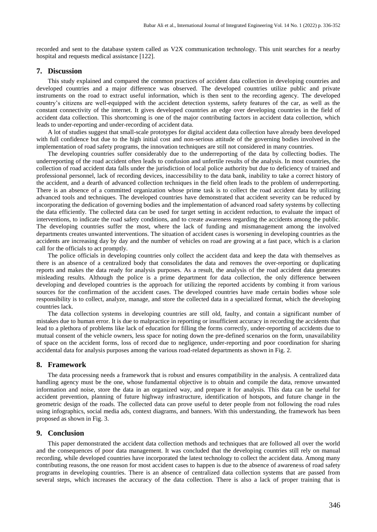recorded and sent to the database system called as V2X communication technology. This unit searches for a nearby hospital and requests medical assistance [122].

#### **7. Discussion**

This study explained and compared the common practices of accident data collection in developing countries and developed countries and a major difference was observed. The developed countries utilize public and private instruments on the road to extract useful information, which is then sent to the recording agency. The developed country's citizens are well-equipped with the accident detection systems, safety features of the car, as well as the constant connectivity of the internet. It gives developed countries an edge over developing countries in the field of accident data collection. This shortcoming is one of the major contributing factors in accident data collection, which leads to under-reporting and under-recording of accident data.

A lot of studies suggest that small-scale prototypes for digital accident data collection have already been developed with full confidence but due to the high initial cost and non-serious attitude of the governing bodies involved in the implementation of road safety programs, the innovation techniques are still not considered in many countries.

The developing countries suffer considerably due to the underreporting of the data by collecting bodies. The underreporting of the road accident often leads to confusion and unfertile results of the analysis. In most countries, the collection of road accident data falls under the jurisdiction of local police authority but due to deficiency of trained and professional personnel, lack of recording devices, inaccessibility to the data bank, inability to take a correct history of the accident, and a dearth of advanced collection techniques in the field often leads to the problem of underreporting. There is an absence of a committed organization whose prime task is to collect the road accident data by utilizing advanced tools and techniques. The developed countries have demonstrated that accident severity can be reduced by incorporating the dedication of governing bodies and the implementation of advanced road safety systems by collecting the data efficiently. The collected data can be used for target setting in accident reduction, to evaluate the impact of interventions, to indicate the road safety conditions, and to create awareness regarding the accidents among the public. The developing countries suffer the most, where the lack of funding and mismanagement among the involved departments creates unwanted interventions. The situation of accident cases is worsening in developing countries as the accidents are increasing day by day and the number of vehicles on road are growing at a fast pace, which is a clarion call for the officials to act promptly.

The police officials in developing countries only collect the accident data and keep the data with themselves as there is an absence of a centralized body that consolidates the data and removes the over-reporting or duplicating reports and makes the data ready for analysis purposes. As a result, the analysis of the road accident data generates misleading results. Although the police is a prime department for data collection, the only difference between developing and developed countries is the approach for utilizing the reported accidents by combing it from various sources for the confirmation of the accident cases. The developed countries have made certain bodies whose sole responsibility is to collect, analyze, manage, and store the collected data in a specialized format, which the developing countries lack.

The data collection systems in developing countries are still old, faulty, and contain a significant number of mistakes due to human error. It is due to malpractice in reporting or insufficient accuracy in recording the accidents that lead to a plethora of problems like lack of education for filling the forms correctly, under-reporting of accidents due to mutual consent of the vehicle owners, less space for noting down the pre-defined scenarios on the form, unavailability of space on the accident forms, loss of record due to negligence, under-reporting and poor coordination for sharing accidental data for analysis purposes among the various road-related departments as shown in Fig. 2.

#### **8. Framework**

The data processing needs a framework that is robust and ensures compatibility in the analysis. A centralized data handling agency must be the one, whose fundamental objective is to obtain and compile the data, remove unwanted information and noise, store the data in an organized way, and prepare it for analysis. This data can be useful for accident prevention, planning of future highway infrastructure, identification of hotspots, and future change in the geometric design of the roads. The collected data can prove useful to deter people from not following the road rules using infographics, social media ads, context diagrams, and banners. With this understanding, the framework has been proposed as shown in Fig. 3.

#### **9. Conclusion**

This paper demonstrated the accident data collection methods and techniques that are followed all over the world and the consequences of poor data management. It was concluded that the developing countries still rely on manual recording, while developed countries have incorporated the latest technology to collect the accident data. Among many contributing reasons, the one reason for most accident cases to happen is due to the absence of awareness of road safety programs in developing countries. There is an absence of centralized data collection systems that are passed from several steps, which increases the accuracy of the data collection. There is also a lack of proper training that is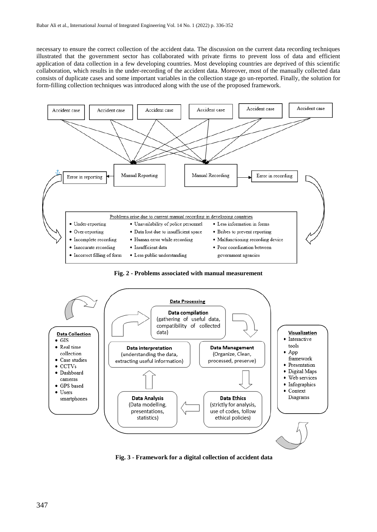necessary to ensure the correct collection of the accident data. The discussion on the current data recording techniques illustrated that the government sector has collaborated with private firms to prevent loss of data and efficient application of data collection in a few developing countries. Most developing countries are deprived of this scientific collaboration, which results in the under-recording of the accident data. Moreover, most of the manually collected data consists of duplicate cases and some important variables in the collection stage go un-reported. Finally, the solution for form-filling collection techniques was introduced along with the use of the proposed framework.



**Fig. 2 - Problems associated with manual measurement**



**Fig. 3 - Framework for a digital collection of accident data**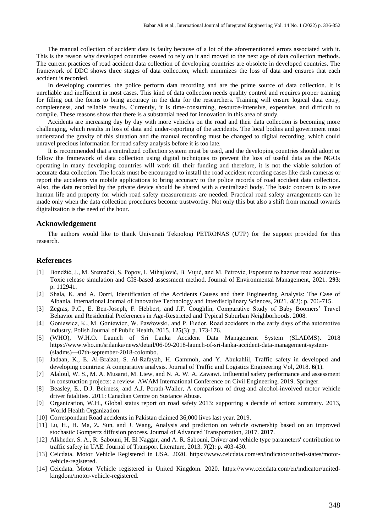The manual collection of accident data is faulty because of a lot of the aforementioned errors associated with it. This is the reason why developed countries ceased to rely on it and moved to the next age of data collection methods. The current practices of road accident data collection of developing countries are obsolete in developed countries. The framework of DDC shows three stages of data collection, which minimizes the loss of data and ensures that each accident is recorded.

In developing countries, the police perform data recording and are the prime source of data collection. It is unreliable and inefficient in most cases. This kind of data collection needs quality control and requires proper training for filling out the forms to bring accuracy in the data for the researchers. Training will ensure logical data entry, completeness, and reliable results. Currently, it is time-consuming, resource-intensive, expensive, and difficult to compile. These reasons show that there is a substantial need for innovation in this area of study.

Accidents are increasing day by day with more vehicles on the road and their data collection is becoming more challenging, which results in loss of data and under-reporting of the accidents. The local bodies and government must understand the gravity of this situation and the manual recording must be changed to digital recording, which could unravel precious information for road safety analysis before it is too late.

It is recommended that a centralized collection system must be used, and the developing countries should adopt or follow the framework of data collection using digital techniques to prevent the loss of useful data as the NGOs operating in many developing countries will work till their funding and therefore, it is not the viable solution of accurate data collection. The locals must be encouraged to install the road accident recording cases like dash cameras or report the accidents via mobile applications to bring accuracy to the police records of road accident data collection. Also, the data recorded by the private device should be shared with a centralized body. The basic concern is to save human life and property for which road safety measurements are needed. Practical road safety arrangements can be made only when the data collection procedures become trustworthy. Not only this but also a shift from manual towards digitalization is the need of the hour.

#### **Acknowledgement**

The authors would like to thank Universiti Teknologi PETRONAS (UTP) for the support provided for this research.

# **References**

- [1] Bondžić, J., M. Sremački, S. Popov, I. Mihajlović, B. Vujić, and M. Petrović, Exposure to hazmat road accidents– Toxic release simulation and GIS-based assessment method. Journal of Environmental Management, 2021. **293**: p. 112941.
- [2] Shala, K. and A. Dorri, Identification of the Accidents Causes and their Engineering Analysis: The Case of Albania. International Journal of Innovative Technology and Interdisciplinary Sciences, 2021. **4**(2): p. 706-715.
- [3] Zegras, P.C., E. Ben-Joseph, F. Hebbert, and J.F. Coughlin, Comparative Study of Baby Boomers' Travel Behavior and Residential Preferences in Age-Restricted and Typical Suburban Neighborhoods. 2008.
- [4] Goniewicz, K., M. Goniewicz, W. Pawłowski, and P. Fiedor, Road accidents in the early days of the automotive industry. Polish Journal of Public Health, 2015. **125**(3): p. 173-176.
- [5] (WHO), W.H.O. Launch of Sri Lanka Accident Data Management System (SLADMS). 2018 [https://www.who.int/srilanka/news/detail/06-09-2018-launch-of-sri-lanka-accident-data-management-system-](https://www.who.int/srilanka/news/detail/06-09-2018-launch-of-sri-lanka-accident-data-management-system-(sladms)---07th-september-2018-colombo) [\(sladms\)---07th-september-2018-colombo.](https://www.who.int/srilanka/news/detail/06-09-2018-launch-of-sri-lanka-accident-data-management-system-(sladms)---07th-september-2018-colombo)
- [6] Jadaan, K., E. Al-Braizat, S. Al-Rafayah, H. Gammoh, and Y. Abukahlil, Traffic safety in developed and developing countries: A comparative analysis. Journal of Traffic and Logistics Engineering Vol, 2018. **6**(1).
- [7] Alaloul, W. S., M. A. Musarat, M. Liew, and N. A. W. A. Zawawi. Influential safety performance and assessment in construction projects: a review. AWAM International Conference on Civil Engineering. 2019. Springer.
- [8] Beasley, E., D.J. Beirness, and A.J. Porath-Waller, A comparison of drug-and alcohol-involved motor vehicle driver fatalities. 2011: Canadian Centre on Sustance Abuse.
- [9] Organization, W.H., Global status report on road safety 2013: supporting a decade of action: summary. 2013, World Health Organization.
- [10] Correspondant Road accidents in Pakistan claimed 36,000 lives last year. 2019.
- [11] Lu, H., H. Ma, Z. Sun, and J. Wang, Analysis and prediction on vehicle ownership based on an improved stochastic Gompertz diffusion process. Journal of Advanced Transportation, 2017. **2017**.
- [12] Alkheder, S. A., R. Sabouni, H. El Naggar, and A. R. Sabouni, Driver and vehicle type parameters' contribution to traffic safety in UAE. Journal of Transport Literature, 2013. **7**(2): p. 403-430.
- [13] Ceicdata. Motor Vehicle Registered in USA. 2020. [https://www.ceicdata.com/en/indicator/united-states/motor](https://www.ceicdata.com/en/indicator/united-states/motor-vehicle-registered)[vehicle-registered.](https://www.ceicdata.com/en/indicator/united-states/motor-vehicle-registered)
- [14] Ceicdata. Motor Vehicle registered in United Kingdom. 2020. [https://www.ceicdata.com/en/indicator/united](https://www.ceicdata.com/en/indicator/united-kingdom/motor-vehicle-registered)[kingdom/motor-vehicle-registered.](https://www.ceicdata.com/en/indicator/united-kingdom/motor-vehicle-registered)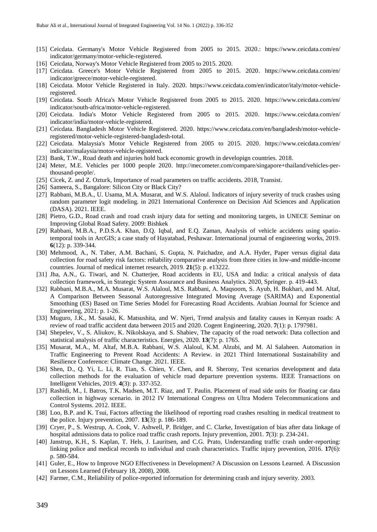- [15] Ceicdata. Germany's Motor Vehicle Registered from 2005 to 2015. 2020.: https://www.ceicdata.com/en/ indicator/germany/motor-vehicle-registered.
- [16] Ceicdata, Norway's Motor Vehicle Registered from 2005 to 2015. 2020.
- [17] Ceicdata. Greece's Motor Vehicle Registered from 2005 to 2015. 2020. [https://www.ceicdata.com/en/](https://www.ceicdata.com/en/indicator/greece/motor-vehicle-registered) [indicator/greece/motor-vehicle-registered.](https://www.ceicdata.com/en/indicator/greece/motor-vehicle-registered)
- [18] Ceicdata. Motor Vehicle Registered in Italy. 2020. [https://www.ceicdata.com/en/indicator/italy/motor-vehicle](https://www.ceicdata.com/en/indicator/italy/motor-vehicle-registered)[registered.](https://www.ceicdata.com/en/indicator/italy/motor-vehicle-registered)
- [19] Ceicdata. South Africa's Motor Vehicle Registered from 2005 to 2015. 2020. https://www.ceicdata.com/en/ indicator/south-africa/motor-vehicle-registered.
- [20] Ceicdata. India's Motor Vehicle Registered from 2005 to 2015. 2020. [https://www.ceicdata.com/en/](https://www.ceicdata.com/en/indicator/india/motor-vehicle-registered) [indicator/india/motor-vehicle-registered.](https://www.ceicdata.com/en/indicator/india/motor-vehicle-registered)
- [21] Ceicdata. Bangladesh Motor Vehicle Registered. 2020. [https://www.ceicdata.com/en/bangladesh/motor-vehicle](https://www.ceicdata.com/en/bangladesh/motor-vehicle-registered/motor-vehicle-registered-bangladesh-total)[registered/motor-vehicle-registered-bangladesh-total.](https://www.ceicdata.com/en/bangladesh/motor-vehicle-registered/motor-vehicle-registered-bangladesh-total)
- [22] Ceicdata. Malaysia's Motor Vehicle Registered from 2005 to 2015. 2020. https://www.ceicdata.com/en/ indicator/malaysia/motor-vehicle-registered.
- [23] Bank, T.W., Road death and injuries hold back economic growth in developign countries. 2018.
- [24] Meter, M.E. Vehicles per 1000 people 2020. [http://mecometer.com/compare/singapore+thailand/vehicles-per](http://mecometer.com/compare/singapore+thailand/vehicles-per-thousand-people/)[thousand-people/.](http://mecometer.com/compare/singapore+thailand/vehicles-per-thousand-people/)
- [25] Cicek, Z. and Z. Ozturk, Importance of road parameters on traffic accidents. 2018, Transist.
- [26] Sameera, S., Bangalore: Silicon City or Black City?
- [27] Rabbani, M.B.A., U. Usama, M.A. Musarat, and W.S. Alaloul. Indicators of injury severity of truck crashes using random parameter logit modeling. in 2021 International Conference on Decision Aid Sciences and Application (DASA). 2021. IEEE.
- [28] Pietro, G.D., Road crash and road crash injury data for setting and monitoring targets, in UNECE Seminar on Improving Global Road Safety. 2009: Bishkek
- [29] Rabbani, M.B.A., P.D.S.A. Khan, D.Q. Iqbal, and E.Q. Zaman, Analysis of vehicle accidents using spatiotemporal tools in ArcGIS; a case study of Hayatabad, Peshawar. International journal of engineering works, 2019. **6**(12): p. 339-344.
- [30] Mehmood, A., N. Taber, A.M. Bachani, S. Gupta, N. Paichadze, and A.A. Hyder, Paper versus digital data collection for road safety risk factors: reliability comparative analysis from three cities in low-and middle-income countries. Journal of medical internet research, 2019. **21**(5): p. e13222.
- [31] Jha, A.N., G. Tiwari, and N. Chatterjee, Road accidents in EU, USA and India: a critical analysis of data collection framework, in Strategic System Assurance and Business Analytics. 2020, Springer. p. 419-443.
- [32] Rabbani, M.B.A., M.A. Musarat, W.S. Alaloul, M.S. Rabbani, A. Maqsoom, S. Ayub, H. Bukhari, and M. Altaf, A Comparison Between Seasonal Autoregressive Integrated Moving Average (SARIMA) and Exponential Smoothing (ES) Based on Time Series Model for Forecasting Road Accidents. Arabian Journal for Science and Engineering, 2021: p. 1-26.
- [33] Muguro, J.K., M. Sasaki, K. Matsushita, and W. Njeri, Trend analysis and fatality causes in Kenyan roads: A review of road traffic accident data between 2015 and 2020. Cogent Engineering, 2020. **7**(1): p. 1797981.
- [34] Shepelev, V., S. Aliukov, K. Nikolskaya, and S. Shabiev, The capacity of the road network: Data collection and statistical analysis of traffic characteristics. Energies, 2020. **13**(7): p. 1765.
- [35] Musarat, M.A., M. Altaf, M.B.A. Rabbani, W.S. Alaloul, K.M. Alzubi, and M. Al Salaheen. Automation in Traffic Engineering to Prevent Road Accidents: A Review. in 2021 Third International Sustainability and Resilience Conference: Climate Change. 2021. IEEE.
- [36] Shen, D., Q. Yi, L. Li, R. Tian, S. Chien, Y. Chen, and R. Sherony, Test scenarios development and data collection methods for the evaluation of vehicle road departure prevention systems. IEEE Transactions on Intelligent Vehicles, 2019. **4**(3): p. 337-352.
- [37] Rashidi, M., I. Batros, T.K. Madsen, M.T. Riaz, and T. Paulin. Placement of road side units for floating car data collection in highway scenario. in 2012 IV International Congress on Ultra Modern Telecommunications and Control Systems. 2012. IEEE.
- [38] Loo, B.P. and K. Tsui, Factors affecting the likelihood of reporting road crashes resulting in medical treatment to the police. Injury prevention, 2007. **13**(3): p. 186-189.
- [39] Cryer, P., S. Westrup, A. Cook, V. Ashwell, P. Bridger, and C. Clarke, Investigation of bias after data linkage of hospital admissions data to police road traffic crash reports. Injury prevention, 2001. **7**(3): p. 234-241.
- [40] Janstrup, K.H., S. Kaplan, T. Hels, J. Lauritsen, and C.G. Prato, Understanding traffic crash under-reporting: linking police and medical records to individual and crash characteristics. Traffic injury prevention, 2016. **17**(6): p. 580-584.
- [41] Guler, E., How to Improve NGO Effectiveness in Development? A Discussion on Lessons Learned. A Discussion on Lessons Learned (February 18, 2008), 2008.
- [42] Farmer, C.M., Reliability of police-reported information for determining crash and injury severity. 2003.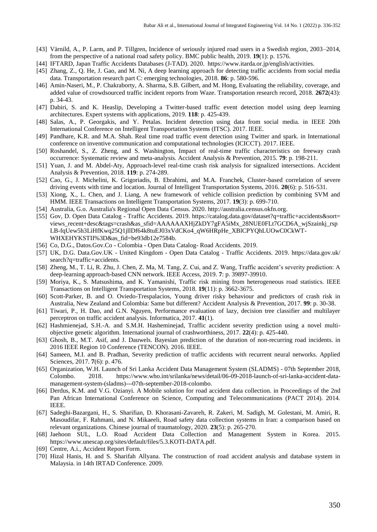- [43] Värnild, A., P. Larm, and P. Tillgren, Incidence of seriously injured road users in a Swedish region, 2003–2014, from the perspective of a national road safety policy. BMC public health, 2019. **19**(1): p. 1576.
- [44] IFTARD, Japan Traffic Accidents Databases (J-TAD). 2020. [https://www.itarda.or.jp/english/activities.](https://www.itarda.or.jp/english/activities)
- [45] Zhang, Z., Q. He, J. Gao, and M. Ni, A deep learning approach for detecting traffic accidents from social media data. Transportation research part C: emerging technologies, 2018. **86**: p. 580-596.
- [46] Amin-Naseri, M., P. Chakraborty, A. Sharma, S.B. Gilbert, and M. Hong, Evaluating the reliability, coverage, and added value of crowdsourced traffic incident reports from Waze. Transportation research record, 2018. **2672**(43): p. 34-43.
- [47] Dabiri, S. and K. Heaslip, Developing a Twitter-based traffic event detection model using deep learning architectures. Expert systems with applications, 2019. **118**: p. 425-439.
- [48] Salas, A., P. Georgakis, and Y. Petalas. Incident detection using data from social media. in IEEE 20th International Conference on Intelligent Transportation Systems (ITSC). 2017. IEEE.
- [49] Pandhare, K.R. and M.A. Shah. Real time road traffic event detection using Twitter and spark. in International conference on inventive communication and computational technologies (ICICCT). 2017. IEEE.
- [50] Roshandel, S., Z. Zheng, and S. Washington, Impact of real-time traffic characteristics on freeway crash occurrence: Systematic review and meta-analysis. Accident Analysis & Prevention, 2015. **79**: p. 198-211.
- [51] Yuan, J. and M. Abdel-Aty, Approach-level real-time crash risk analysis for signalized intersections. Accident Analysis & Prevention, 2018. **119**: p. 274-289.
- [52] Cao, G., J. Michelini, K. Grigoriadis, B. Ebrahimi, and M.A. Franchek, Cluster-based correlation of severe driving events with time and location. Journal of Intelligent Transportation Systems, 2016. **20**(6): p. 516-531.
- [53] Xiong, X., L. Chen, and J. Liang, A new framework of vehicle collision prediction by combining SVM and HMM. IEEE Transactions on Intelligent Transportation Systems, 2017. **19**(3): p. 699-710.
- [54] Australia, G.o. Australia's Regional Open Data Census. 2020[. http://australia.census.okfn.org.](http://australia.census.okfn.org/)
- [55] Gov, D. Open Data Catalog Traffic Accidents. 2019. https://catalog.data.gov/dataset?q=traffic+accidents&sort= views\_recent+desc&tags=crash&as\_sfid=AAAAAAXHjZkDY7gFA5iMx\_28NUE0FLt7GCD6A\_wjSzainkj\_rsp LB-fqUew5h3LiHfKwq25Q1jllDf64k8tuEJ03xVdCKo4\_qW6HRpHe\_XBlCPYQhLUOwC0CkWT-WHXEHYKSTII%3D&as\_fid=be93db12e7584b.
- [56] Co, D.G., Datos.Gov.Co Colombia Open Data Catalog- Road Accidents. 2019.
- [57] UK, D.G. Data.Gov.UK United Kingdom Open Data Catalog Traffic Accidents. 2019. https://data.gov.uk/ search?q=traffic+accidents.
- [58] Zheng, M., T. Li, R. Zhu, J. Chen, Z. Ma, M. Tang, Z. Cui, and Z. Wang, Traffic accident's severity prediction: A deep-learning approach-based CNN network. IEEE Access, 2019. **7**: p. 39897-39910.
- [59] Moriya, K., S. Matsushima, and K. Yamanishi, Traffic risk mining from heterogeneous road statistics. IEEE Transactions on Intelligent Transportation Systems, 2018. **19**(11): p. 3662-3675.
- [60] Scott-Parker, B. and O. Oviedo-Trespalacios, Young driver risky behaviour and predictors of crash risk in Australia, New Zealand and Colombia: Same but different? Accident Analysis & Prevention, 2017. **99**: p. 30-38.
- [61] Tiwari, P., H. Dao, and G.N. Nguyen, Performance evaluation of lazy, decision tree classifier and multilayer perceptron on traffic accident analysis. Informatica, 2017. **41**(1).
- [62] Hashmienejad, S.H.-A. and S.M.H. Hasheminejad, Traffic accident severity prediction using a novel multiobjective genetic algorithm. International journal of crashworthiness, 2017. **22**(4): p. 425-440.
- [63] Ghosh, B., M.T. Asif, and J. Dauwels. Bayesian prediction of the duration of non-recurring road incidents. in 2016 IEEE Region 10 Conference (TENCON). 2016. IEEE.
- [64] Sameen, M.I. and B. Pradhan, Severity prediction of traffic accidents with recurrent neural networks. Applied Sciences, 2017. **7**(6): p. 476.
- [65] Organization, W.H. Launch of Sri Lanka Accident Data Management System (SLADMS) 07th September 2018, Colombo. 2018. [https://www.who.int/srilanka/news/detail/06-09-2018-launch-of-sri-lanka-accident-data](https://www.who.int/srilanka/news/detail/06-09-2018-launch-of-sri-lanka-accident-data-management-system-(sladms)---07th-september-2018-colombo)[management-system-\(sladms\)---07th-september-2018-colombo.](https://www.who.int/srilanka/news/detail/06-09-2018-launch-of-sri-lanka-accident-data-management-system-(sladms)---07th-september-2018-colombo)
- [66] Derdus, K.M. and V.G. Ozianyi. A Mobile solution for road accident data collection. in Proceedings of the 2nd Pan African International Conference on Science, Computing and Telecommunications (PACT 2014). 2014. IEEE.
- [67] Sadeghi-Bazargani, H., S. Sharifian, D. Khorasani-Zavareh, R. Zakeri, M. Sadigh, M. Golestani, M. Amiri, R. Masoudifar, F. Rahmani, and N. Mikaeeli, Road safety data collection systems in Iran: a comparison based on relevant organizations. Chinese journal of traumatology, 2020. **23**(5): p. 265-270.
- [68] Jaehoon SUL, L.O. Road Accident Data Collection and Management System in Korea. 2015. https://www.unescap.org/sites/default/files/5.3.KOTI-DATA.pdf.
- [69] Centre, A.i., Accident Report Form.
- [70] Hizal Hanis, H. and S. Sharifah Allyana. The construction of road accident analysis and database system in Malaysia. in 14th IRTAD Conference. 2009.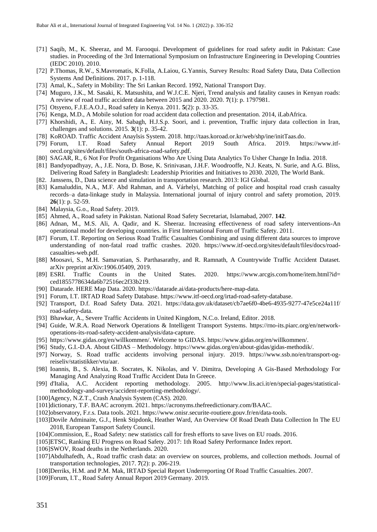- [71] Saqib, M., K. Sheeraz, and M. Farooqui. Development of guidelines for road safety audit in Pakistan: Case studies. in Proceeding of the 3rd International Symposium on Infrastructure Engineering in Developing Countries (IEDC 2010). 2010.
- [72] P.Thomas, R.W., S.Mavromatis, K.Folla, A.Laiou, G.Yannis, Survey Results: Road Safety Data, Data Collection Systems And Definitions. 2017. p. 1-118.
- [73] Amal, K., Safety in Mobility: The Sri Lankan Record. 1992, National Transport Day.
- [74] Muguro, J.K., M. Sasaki, K. Matsushita, and W.J.C.E. Njeri, Trend analysis and fatality causes in Kenyan roads: A review of road traffic accident data between 2015 and 2020. 2020. **7**(1): p. 1797981.
- [75] Otsyeno, F.J.E.A.O.J., Road safety in Kenya. 2011. **5**(2): p. 33-35.
- [76] Kenga, M.D., A Mobile solution for road accident data collection and presentation. 2014, iLabAfrica.
- [77] Khorshidi, A., E. Ainy, M. Sabagh, H.J.S.p. Soori, and i. prevention, Traffic injury data collection in Iran, challenges and solutions. 2015. **3**(1): p. 35-42.
- [78] KoROAD. Traffic Accident Anaylsis System. 2018[. http://taas.koroad.or.kr/web/shp/ine/initTaas.do.](http://taas.koroad.or.kr/web/shp/ine/initTaas.do)
- [79] Forum, I.T. Road Safety Annual Report 2019 South Africa. 2019. [https://www.itf](https://www.itf-oecd.org/sites/default/files/south-africa-road-safety.pdf)[oecd.org/sites/default/files/south-africa-road-safety.pdf.](https://www.itf-oecd.org/sites/default/files/south-africa-road-safety.pdf)
- [80] SAGAR, R., 6 Not For Profit Organisations Who Are Using Data Analytics To Usher Change In India. 2018.
- [81] Bandyopadhyay, A., J.E. Nora, D. Bose, K. Srinivasan, J.H.F. Woodrooffe, N.J. Keats, N. Surie, and A.G. Bliss, Delivering Road Safety in Bangladesh: Leadership Priorities and Initiatives to 2030. 2020, The World Bank.
- [82. Janssens, D., Data science and simulation in transportation research. 2013: IGI Global.
- [83] Kamaluddin, N.A., M.F. Abd Rahman, and A. Várhelyi, Matching of police and hospital road crash casualty records–a data-linkage study in Malaysia. International journal of injury control and safety promotion, 2019. **26**(1): p. 52-59.
- [84] Malaysia, G.o., Road Safety. 2019.
- [85] Ahmed, A., Road safety in Pakistan. National Road Safety Secretariat, Islamabad, 2007. **142**.
- [86] Adnan, M., M.S. Ali, A. Qadir, and K. Sheeraz. Increasing effectiveness of road safety interventions-An operational model for developing countries. in First International Forum of Traffic Safety. 2011.
- [87] Forum, I.T. Reporting on Serious Road Traffic Casualties Combining and using different data sources to improve understanding of non-fatal road traffic crashes. 2020. [https://www.itf-oecd.org/sites/default/files/docs/road](https://www.itf-oecd.org/sites/default/files/docs/road-casualties-web.pdf)[casualties-web.pdf.](https://www.itf-oecd.org/sites/default/files/docs/road-casualties-web.pdf)
- [88] Moosavi, S., M.H. Samavatian, S. Parthasarathy, and R. Ramnath, A Countrywide Traffic Accident Dataset. arXiv preprint arXiv:1906.05409, 2019.
- [89] ESRI. Traffic Counts in the United States. 2020. https://www.arcgis.com/home/item.html?id= ced1855778634da6b72516ec2f33b219.
- [90] Datarade. HERE Map Data. 2020[. https://datarade.ai/data-products/here-map-data.](https://datarade.ai/data-products/here-map-data)
- [91] Forum, I.T. IRTAD Road Safety Database. [https://www.itf-oecd.org/irtad-road-safety-database.](https://www.itf-oecd.org/irtad-road-safety-database)
- [92] Transport, D.f. Road Safety Data. 2021. https://data.gov.uk/dataset/cb7ae6f0-4be6-4935-9277-47e5ce24a11f/ road-safety-data.
- [93] Bhawkar, A., Severe Traffic Accidents in United Kingdom, N.C.o. Ireland, Editor. 2018.
- [94] Guide, W.R.A. Road Network Operations & Intelligent Transport Systems. [https://rno-its.piarc.org/en/network](https://rno-its.piarc.org/en/network-operations-its-road-safety-accident-analysis/data-capture)[operations-its-road-safety-accident-analysis/data-capture.](https://rno-its.piarc.org/en/network-operations-its-road-safety-accident-analysis/data-capture)
- [95] [https://www.gidas.org/en/willkommen/.](https://www.gidas.org/en/willkommen/) Welcome to GIDAS. [https://www.gidas.org/en/willkommen/.](https://www.gidas.org/en/willkommen/)
- [96] Study, G.I.-D.A. About GIDAS Methodology. [https://www.gidas.org/en/about-gidas/gidas-methodik/.](https://www.gidas.org/en/about-gidas/gidas-methodik/)
- [97] Norway, S. Road traffic accidents involving personal injury. 2019. [https://www.ssb.no/en/transport-og](https://www.ssb.no/en/transport-og-reiseliv/statistikker/vtu/aar)[reiseliv/statistikker/vtu/aar.](https://www.ssb.no/en/transport-og-reiseliv/statistikker/vtu/aar)
- [98] Ioannis, B., S. Alexia, B. Socrates, K. Nikolas, and V. Dimitra, Developing A Gis-Based Methodology For Managing And Analyzing Road Traffic Accident Data In Greece.
- [99] d'Italia, A.C. Accident reporting methodology. 2005. [http://www.lis.aci.it/en/special-pages/statistical](http://www.lis.aci.it/en/special-pages/statistical-methodology-and-survey/accident-reporting-methodology/)[methodology-and-survey/accident-reporting-methodology/.](http://www.lis.aci.it/en/special-pages/statistical-methodology-and-survey/accident-reporting-methodology/)
- [100]Agency, N.Z.T., Crash Analysis System (CAS). 2020.
- [101]dictionary, T.F. BAAC acronym. 2021. [https://acronyms.thefreedictionary.com/BAAC.](https://acronyms.thefreedictionary.com/BAAC)
- [102]observatory, F.r.s. Data tools. 2021. [https://www.onisr.securite-routiere.gouv.fr/en/data-tools.](https://www.onisr.securite-routiere.gouv.fr/en/data-tools)
- [103]Dovile Adminaite, G.J., Henk Stipdonk, Heather Ward, An Overview Of Road Death Data Collection In The EU 2018, European Tansport Safety Council.
- [104]Commission, E., Road Safety: new statistics call for fresh efforts to save lives on EU roads. 2016.
- [105]ETSC, Ranking EU Progress on Road Safety. 2017: 1th Road Safety Performance Index report.
- [106]SWOV, Road deaths in the Netherlands. 2020.
- [107]Abdulhafedh, A., Road traffic crash data: an overview on sources, problems, and collection methods. Journal of transportation technologies, 2017. **7**(2): p. 206-219.
- [108]Derriks, H.M. and P.M. Mak, IRTAD Special Report Underreporting Of Road Traffic Casualties. 2007.
- [109]Forum, I.T., Road Safety Annual Report 2019 Germany. 2019.